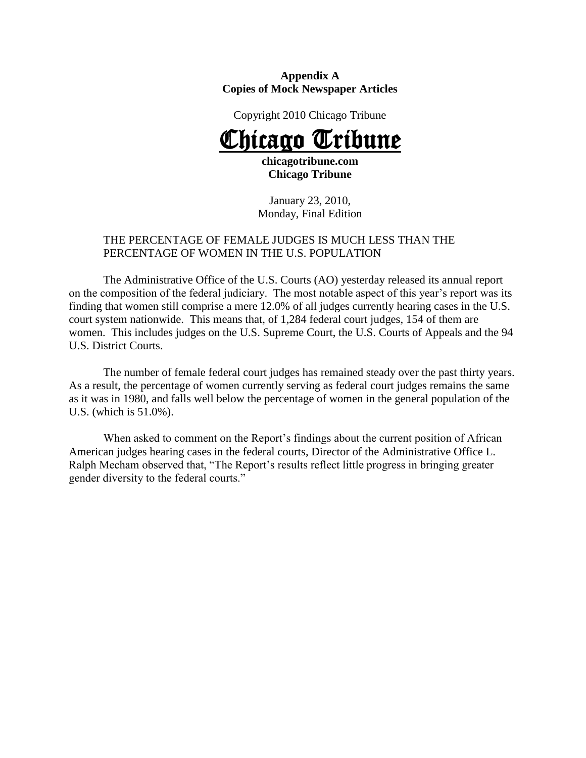#### **Appendix A Copies of Mock Newspaper Articles**

Copyright 2010 Chicago Tribune

# Chicago Tribune

**chicagotribune.com Chicago Tribune**

January 23, 2010, Monday, Final Edition

# THE PERCENTAGE OF FEMALE JUDGES IS MUCH LESS THAN THE PERCENTAGE OF WOMEN IN THE U.S. POPULATION

The Administrative Office of the U.S. Courts (AO) yesterday released its annual report on the composition of the federal judiciary. The most notable aspect of this year's report was its finding that women still comprise a mere 12.0% of all judges currently hearing cases in the U.S. court system nationwide. This means that, of 1,284 federal court judges, 154 of them are women. This includes judges on the U.S. Supreme Court, the U.S. Courts of Appeals and the 94 U.S. District Courts.

The number of female federal court judges has remained steady over the past thirty years. As a result, the percentage of women currently serving as federal court judges remains the same as it was in 1980, and falls well below the percentage of women in the general population of the U.S. (which is 51.0%).

When asked to comment on the Report's findings about the current position of African American judges hearing cases in the federal courts, Director of the Administrative Office L. Ralph Mecham observed that, "The Report's results reflect little progress in bringing greater gender diversity to the federal courts."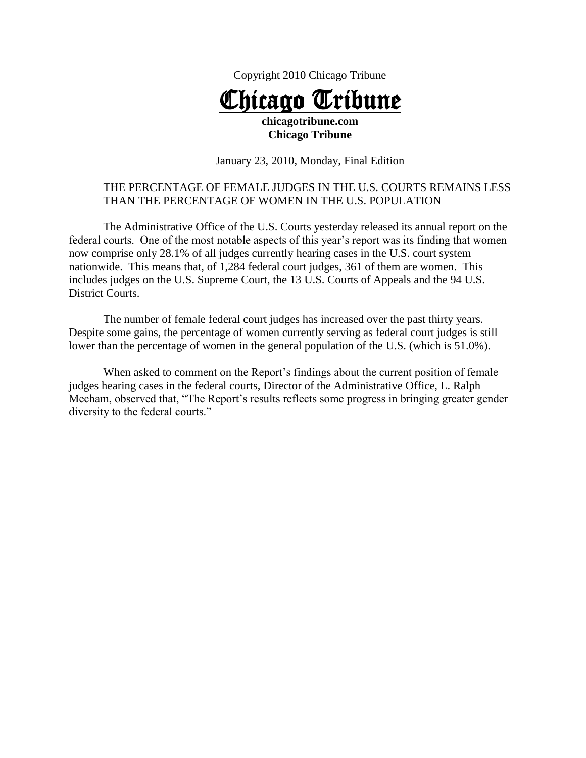



# **Chicago Tribune**

January 23, 2010, Monday, Final Edition

# THE PERCENTAGE OF FEMALE JUDGES IN THE U.S. COURTS REMAINS LESS THAN THE PERCENTAGE OF WOMEN IN THE U.S. POPULATION

The Administrative Office of the U.S. Courts yesterday released its annual report on the federal courts. One of the most notable aspects of this year's report was its finding that women now comprise only 28.1% of all judges currently hearing cases in the U.S. court system nationwide. This means that, of 1,284 federal court judges, 361 of them are women. This includes judges on the U.S. Supreme Court, the 13 U.S. Courts of Appeals and the 94 U.S. District Courts.

The number of female federal court judges has increased over the past thirty years. Despite some gains, the percentage of women currently serving as federal court judges is still lower than the percentage of women in the general population of the U.S. (which is 51.0%).

When asked to comment on the Report's findings about the current position of female judges hearing cases in the federal courts, Director of the Administrative Office, L. Ralph Mecham, observed that, "The Report's results reflects some progress in bringing greater gender diversity to the federal courts."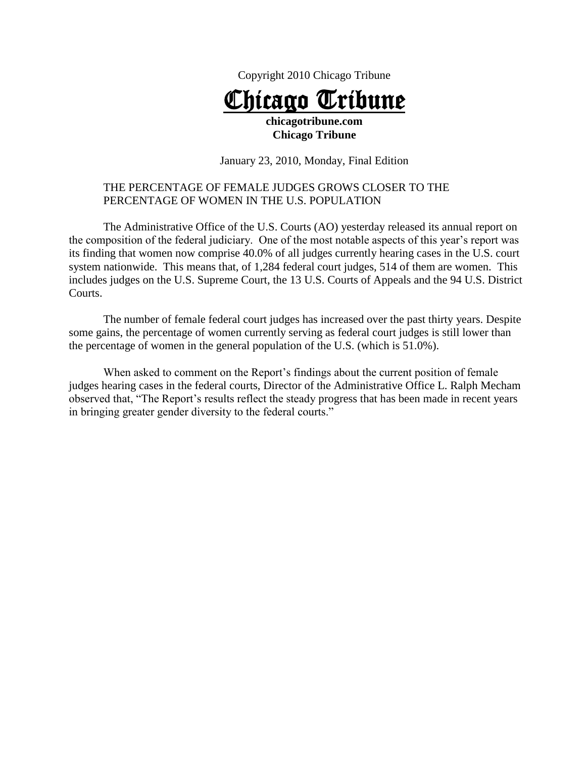Copyright 2010 Chicago Tribune

# Chicago Tribune **chicagotribune.com**

#### **Chicago Tribune**

January 23, 2010, Monday, Final Edition

### THE PERCENTAGE OF FEMALE JUDGES GROWS CLOSER TO THE PERCENTAGE OF WOMEN IN THE U.S. POPULATION

The Administrative Office of the U.S. Courts (AO) yesterday released its annual report on the composition of the federal judiciary. One of the most notable aspects of this year's report was its finding that women now comprise 40.0% of all judges currently hearing cases in the U.S. court system nationwide. This means that, of 1,284 federal court judges, 514 of them are women. This includes judges on the U.S. Supreme Court, the 13 U.S. Courts of Appeals and the 94 U.S. District Courts.

The number of female federal court judges has increased over the past thirty years. Despite some gains, the percentage of women currently serving as federal court judges is still lower than the percentage of women in the general population of the U.S. (which is 51.0%).

When asked to comment on the Report's findings about the current position of female judges hearing cases in the federal courts, Director of the Administrative Office L. Ralph Mecham observed that, "The Report's results reflect the steady progress that has been made in recent years in bringing greater gender diversity to the federal courts."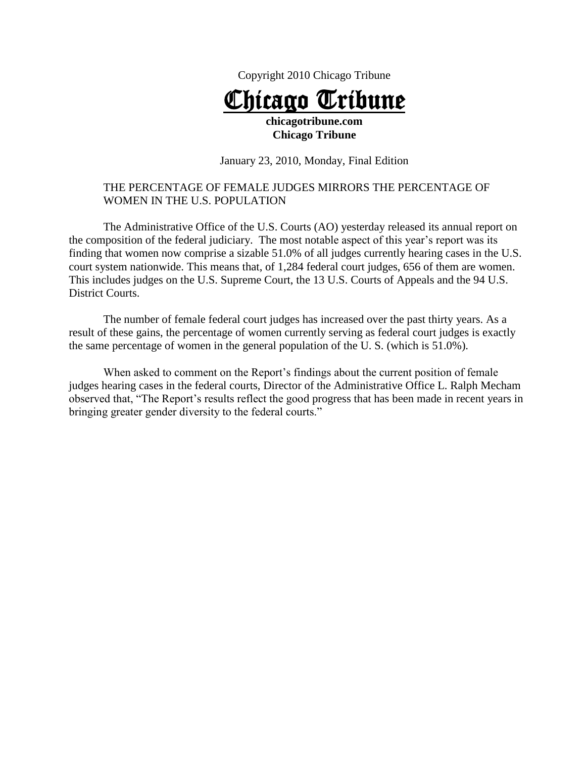Copyright 2010 Chicago Tribune

# Chicago Tribune **chicagotribune.com**

#### **Chicago Tribune**

January 23, 2010, Monday, Final Edition

### THE PERCENTAGE OF FEMALE JUDGES MIRRORS THE PERCENTAGE OF WOMEN IN THE U.S. POPULATION

The Administrative Office of the U.S. Courts (AO) yesterday released its annual report on the composition of the federal judiciary. The most notable aspect of this year's report was its finding that women now comprise a sizable 51.0% of all judges currently hearing cases in the U.S. court system nationwide. This means that, of 1,284 federal court judges, 656 of them are women. This includes judges on the U.S. Supreme Court, the 13 U.S. Courts of Appeals and the 94 U.S. District Courts.

The number of female federal court judges has increased over the past thirty years. As a result of these gains, the percentage of women currently serving as federal court judges is exactly the same percentage of women in the general population of the U. S. (which is 51.0%).

When asked to comment on the Report's findings about the current position of female judges hearing cases in the federal courts, Director of the Administrative Office L. Ralph Mecham observed that, "The Report's results reflect the good progress that has been made in recent years in bringing greater gender diversity to the federal courts."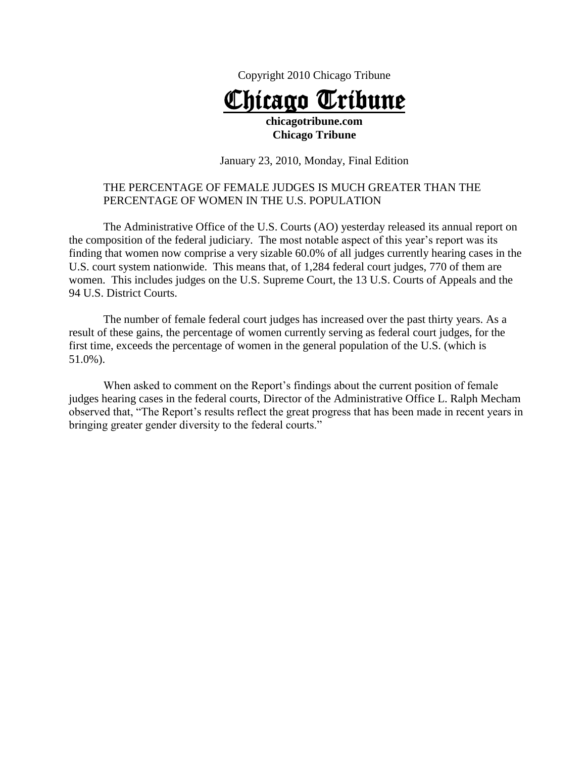Copyright 2010 Chicago Tribune

# Chicago Tribune **chicagotribune.com**

#### **Chicago Tribune**

January 23, 2010, Monday, Final Edition

### THE PERCENTAGE OF FEMALE JUDGES IS MUCH GREATER THAN THE PERCENTAGE OF WOMEN IN THE U.S. POPULATION

The Administrative Office of the U.S. Courts (AO) yesterday released its annual report on the composition of the federal judiciary. The most notable aspect of this year's report was its finding that women now comprise a very sizable 60.0% of all judges currently hearing cases in the U.S. court system nationwide. This means that, of 1,284 federal court judges, 770 of them are women. This includes judges on the U.S. Supreme Court, the 13 U.S. Courts of Appeals and the 94 U.S. District Courts.

The number of female federal court judges has increased over the past thirty years. As a result of these gains, the percentage of women currently serving as federal court judges, for the first time, exceeds the percentage of women in the general population of the U.S. (which is 51.0%).

When asked to comment on the Report's findings about the current position of female judges hearing cases in the federal courts, Director of the Administrative Office L. Ralph Mecham observed that, "The Report's results reflect the great progress that has been made in recent years in bringing greater gender diversity to the federal courts."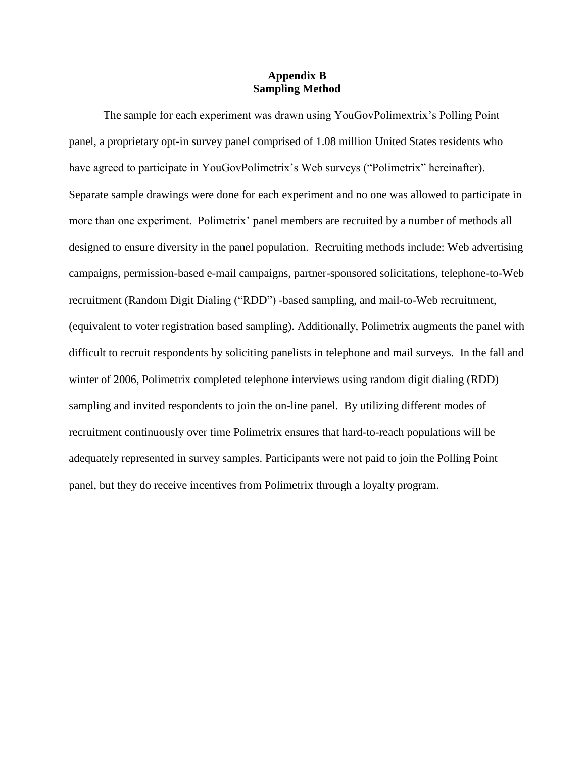#### **Appendix B Sampling Method**

The sample for each experiment was drawn using YouGovPolimextrix's Polling Point panel, a proprietary opt-in survey panel comprised of 1.08 million United States residents who have agreed to participate in YouGovPolimetrix's Web surveys ("Polimetrix" hereinafter). Separate sample drawings were done for each experiment and no one was allowed to participate in more than one experiment. Polimetrix' panel members are recruited by a number of methods all designed to ensure diversity in the panel population. Recruiting methods include: Web advertising campaigns, permission-based e-mail campaigns, partner-sponsored solicitations, telephone-to-Web recruitment (Random Digit Dialing ("RDD") -based sampling, and mail-to-Web recruitment, (equivalent to voter registration based sampling). Additionally, Polimetrix augments the panel with difficult to recruit respondents by soliciting panelists in telephone and mail surveys. In the fall and winter of 2006, Polimetrix completed telephone interviews using random digit dialing (RDD) sampling and invited respondents to join the on-line panel. By utilizing different modes of recruitment continuously over time Polimetrix ensures that hard-to-reach populations will be adequately represented in survey samples. Participants were not paid to join the Polling Point panel, but they do receive incentives from Polimetrix through a loyalty program.